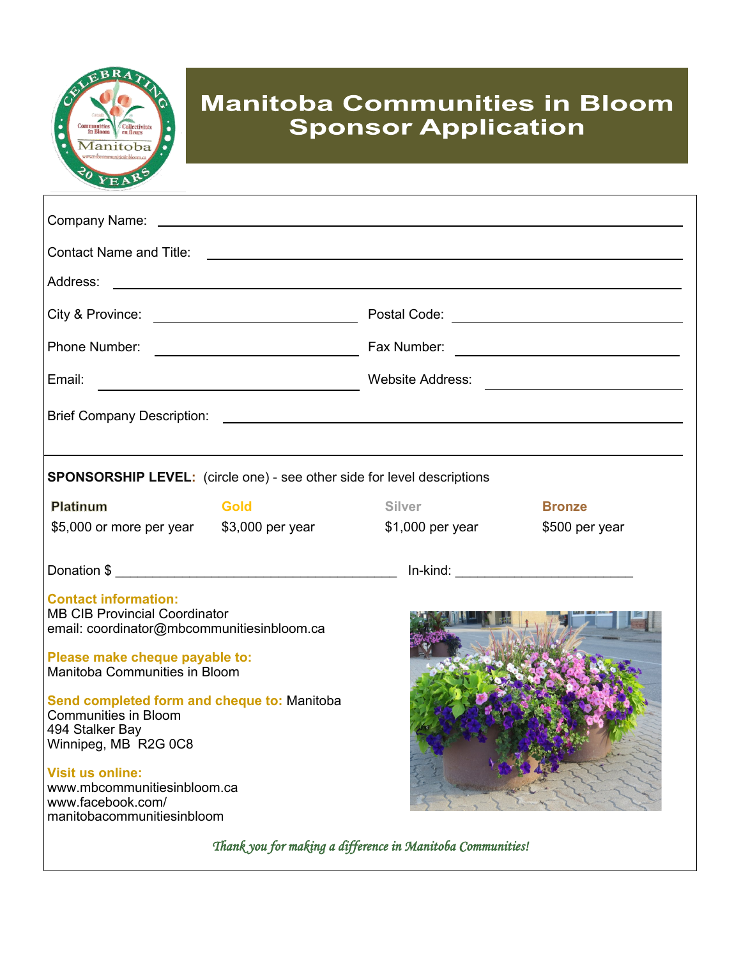

# **Manitoba Communities in Bloom Sponsor Application**

| Email:<br><u> 1990 - John Stein, Amerikaansk politiker (</u>                                                          |             |                   |                |
|-----------------------------------------------------------------------------------------------------------------------|-------------|-------------------|----------------|
|                                                                                                                       |             |                   |                |
|                                                                                                                       |             |                   |                |
| <b>SPONSORSHIP LEVEL:</b> (circle one) - see other side for level descriptions                                        |             |                   |                |
| Platinum                                                                                                              | <b>Gold</b> | <b>Silver</b>     | <b>Bronze</b>  |
| \$5,000 or more per year \$3,000 per year                                                                             |             | $$1,000$ per year | \$500 per year |
|                                                                                                                       |             |                   |                |
| <b>Contact information:</b><br><b>MB CIB Provincial Coordinator</b><br>email: coordinator@mbcommunitiesinbloom.ca     |             |                   |                |
| Please make cheque payable to:<br>Manitoba Communities in Bloom                                                       |             |                   |                |
| Send completed form and cheque to: Manitoba<br><b>Communities in Bloom</b><br>494 Stalker Bay<br>Winnipeg, MB R2G 0C8 |             |                   |                |
| <b>Visit us online:</b><br>www.mbcommunitiesinbloom.ca<br>www.facebook.com/<br>manitobacommunitiesinbloom             |             |                   |                |

*Thank you for making a difference in Manitoba Communities!*